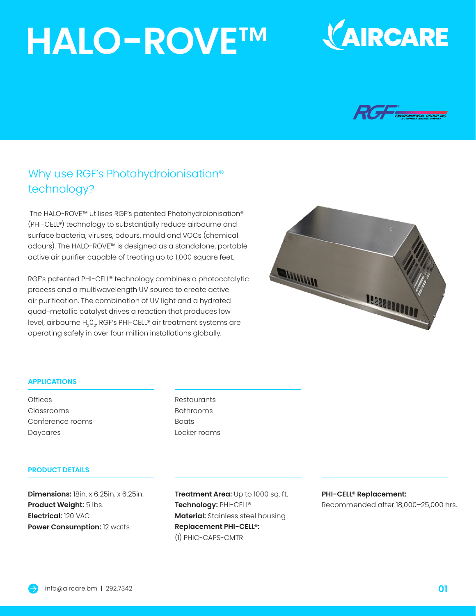# **HALO-ROVE**™





### Why use RGF's Photohydroionisation® technology?

The HALO-ROVE™ utilises RGF's patented Photohydroionisation® (PHI-CELL®) technology to substantially reduce airbourne and surface bacteria, viruses, odours, mould and VOCs (chemical odours). The HALO-ROVE™ is designed as a standalone, portable active air purifier capable of treating up to 1,000 square feet.

RGF's patented PHI-CELL® technology combines a photocatalytic process and a multiwavelength UV source to create active air purification. The combination of UV light and a hydrated quad-metallic catalyst drives a reaction that produces low level, airbourne H<sub>2</sub>0<sub>2</sub>. RGF's PHI-CELL® air treatment systems are operating safely in over four million installations globally.



#### **APPLICATIONS**

**Offices** Classrooms Conference rooms Daycares

Restaurants Bathrooms **Boats** Locker rooms

#### **PRODUCT DETAILS**

**Dimensions:** 18in. x 6.25in. x 6.25in. **Product Weight:** 5 lbs. **Electrical:** 120 VAC **Power Consumption:** 12 watts

**Treatment Area:** Up to 1000 sq. ft. **Technology:** PHI-CELL® **Material:** Stainless steel housing **Replacement PHI-CELL®:** (1) PHIC-CAPS-CMTR

#### **PHI-CELL® Replacement:**

Recommended after 18,000–25,000 hrs.